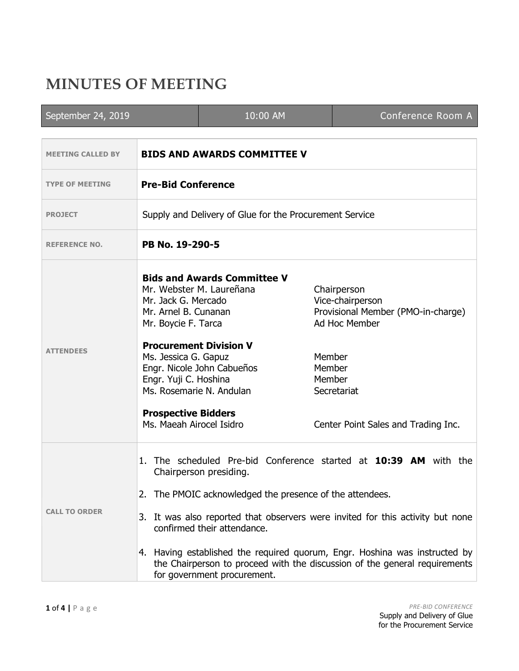## **MINUTES OF MEETING**

| September 24, 2019       |                                                                                                                                                                                                                                                                                                                                                                                                                                                                    | 10:00 AM                                                                                                                      |                            | Conference Room A                                                                                                                            |  |
|--------------------------|--------------------------------------------------------------------------------------------------------------------------------------------------------------------------------------------------------------------------------------------------------------------------------------------------------------------------------------------------------------------------------------------------------------------------------------------------------------------|-------------------------------------------------------------------------------------------------------------------------------|----------------------------|----------------------------------------------------------------------------------------------------------------------------------------------|--|
|                          |                                                                                                                                                                                                                                                                                                                                                                                                                                                                    |                                                                                                                               |                            |                                                                                                                                              |  |
| <b>MEETING CALLED BY</b> | <b>BIDS AND AWARDS COMMITTEE V</b>                                                                                                                                                                                                                                                                                                                                                                                                                                 |                                                                                                                               |                            |                                                                                                                                              |  |
| <b>TYPE OF MEETING</b>   | <b>Pre-Bid Conference</b>                                                                                                                                                                                                                                                                                                                                                                                                                                          |                                                                                                                               |                            |                                                                                                                                              |  |
| <b>PROJECT</b>           | Supply and Delivery of Glue for the Procurement Service                                                                                                                                                                                                                                                                                                                                                                                                            |                                                                                                                               |                            |                                                                                                                                              |  |
| <b>REFERENCE NO.</b>     | PB No. 19-290-5                                                                                                                                                                                                                                                                                                                                                                                                                                                    |                                                                                                                               |                            |                                                                                                                                              |  |
| <b>ATTENDEES</b>         | Mr. Jack G. Mercado<br>Mr. Arnel B. Cunanan<br>Mr. Boycie F. Tarca<br>Ms. Jessica G. Gapuz<br>Engr. Yuji C. Hoshina<br>Ms. Rosemarie N. Andulan<br><b>Prospective Bidders</b><br>Ms. Maeah Airocel Isidro                                                                                                                                                                                                                                                          | <b>Bids and Awards Committee V</b><br>Mr. Webster M. Laureñana<br><b>Procurement Division V</b><br>Engr. Nicole John Cabueños | Member<br>Member<br>Member | Chairperson<br>Vice-chairperson<br>Provisional Member (PMO-in-charge)<br>Ad Hoc Member<br>Secretariat<br>Center Point Sales and Trading Inc. |  |
| <b>CALL TO ORDER</b>     | 1. The scheduled Pre-bid Conference started at 10:39 AM with the<br>Chairperson presiding.<br>2. The PMOIC acknowledged the presence of the attendees.<br>3. It was also reported that observers were invited for this activity but none<br>confirmed their attendance.<br>4. Having established the required quorum, Engr. Hoshina was instructed by<br>the Chairperson to proceed with the discussion of the general requirements<br>for government procurement. |                                                                                                                               |                            |                                                                                                                                              |  |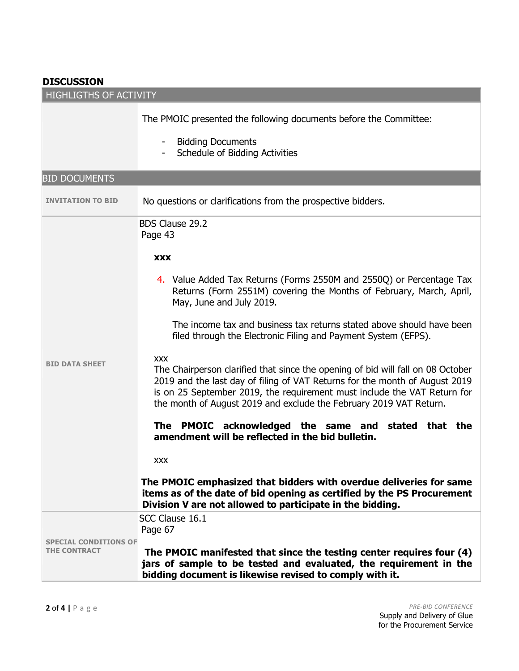## **DISCUSSION**

| <b>HIGHLIGTHS OF ACTIVITY</b>               |                                                                                                                                                                                                                                                                                                                                |  |  |  |
|---------------------------------------------|--------------------------------------------------------------------------------------------------------------------------------------------------------------------------------------------------------------------------------------------------------------------------------------------------------------------------------|--|--|--|
|                                             | The PMOIC presented the following documents before the Committee:                                                                                                                                                                                                                                                              |  |  |  |
|                                             | <b>Bidding Documents</b><br>Schedule of Bidding Activities                                                                                                                                                                                                                                                                     |  |  |  |
| <b>BID DOCUMENTS</b>                        |                                                                                                                                                                                                                                                                                                                                |  |  |  |
| <b>INVITATION TO BID</b>                    | No questions or clarifications from the prospective bidders.                                                                                                                                                                                                                                                                   |  |  |  |
|                                             | <b>BDS Clause 29.2</b><br>Page 43                                                                                                                                                                                                                                                                                              |  |  |  |
| <b>BID DATA SHEET</b>                       | <b>XXX</b>                                                                                                                                                                                                                                                                                                                     |  |  |  |
|                                             | 4. Value Added Tax Returns (Forms 2550M and 2550Q) or Percentage Tax<br>Returns (Form 2551M) covering the Months of February, March, April,<br>May, June and July 2019.                                                                                                                                                        |  |  |  |
|                                             | The income tax and business tax returns stated above should have been<br>filed through the Electronic Filing and Payment System (EFPS).                                                                                                                                                                                        |  |  |  |
|                                             | <b>XXX</b><br>The Chairperson clarified that since the opening of bid will fall on 08 October<br>2019 and the last day of filing of VAT Returns for the month of August 2019<br>is on 25 September 2019, the requirement must include the VAT Return for<br>the month of August 2019 and exclude the February 2019 VAT Return. |  |  |  |
|                                             | The PMOIC acknowledged the same and stated that the<br>amendment will be reflected in the bid bulletin.                                                                                                                                                                                                                        |  |  |  |
|                                             | <b>XXX</b>                                                                                                                                                                                                                                                                                                                     |  |  |  |
|                                             | The PMOIC emphasized that bidders with overdue deliveries for same<br>items as of the date of bid opening as certified by the PS Procurement<br>Division V are not allowed to participate in the bidding.                                                                                                                      |  |  |  |
|                                             | SCC Clause 16.1                                                                                                                                                                                                                                                                                                                |  |  |  |
| <b>CONDITIONS OF</b><br><b>THE CONTRACT</b> | Page 67<br>The PMOIC manifested that since the testing center requires four (4)<br>jars of sample to be tested and evaluated, the requirement in the<br>bidding document is likewise revised to comply with it.                                                                                                                |  |  |  |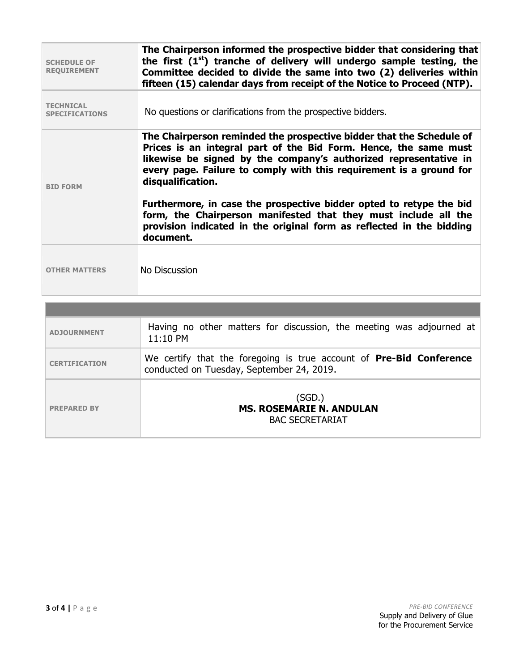| <b>SCHEDULE OF</b><br><b>REQUIREMENT</b>  | The Chairperson informed the prospective bidder that considering that<br>the first $(1st)$ tranche of delivery will undergo sample testing, the<br>Committee decided to divide the same into two (2) deliveries within<br>fifteen (15) calendar days from receipt of the Notice to Proceed (NTP).                                                                                                                                                                                                                                       |  |
|-------------------------------------------|-----------------------------------------------------------------------------------------------------------------------------------------------------------------------------------------------------------------------------------------------------------------------------------------------------------------------------------------------------------------------------------------------------------------------------------------------------------------------------------------------------------------------------------------|--|
| <b>TECHNICAL</b><br><b>SPECIFICATIONS</b> | No questions or clarifications from the prospective bidders.                                                                                                                                                                                                                                                                                                                                                                                                                                                                            |  |
| <b>BID FORM</b>                           | The Chairperson reminded the prospective bidder that the Schedule of<br>Prices is an integral part of the Bid Form. Hence, the same must<br>likewise be signed by the company's authorized representative in<br>every page. Failure to comply with this requirement is a ground for<br>disqualification.<br>Furthermore, in case the prospective bidder opted to retype the bid<br>form, the Chairperson manifested that they must include all the<br>provision indicated in the original form as reflected in the bidding<br>document. |  |
| <b>OTHER MATTERS</b>                      | No Discussion                                                                                                                                                                                                                                                                                                                                                                                                                                                                                                                           |  |

| <b>ADJOURNMENT</b>   | Having no other matters for discussion, the meeting was adjourned at<br>$11:10$ PM                                      |
|----------------------|-------------------------------------------------------------------------------------------------------------------------|
| <b>CERTIFICATION</b> | We certify that the foregoing is true account of <b>Pre-Bid Conference</b><br>conducted on Tuesday, September 24, 2019. |
| <b>PREPARED BY</b>   | (SGD.)<br><b>MS. ROSEMARIE N. ANDULAN</b><br><b>BAC SECRETARIAT</b>                                                     |